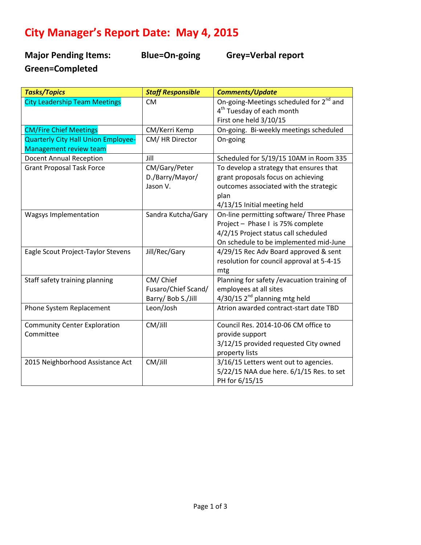## **City Manager's Report Date: May 4, 2015**

**Major Pending Items: Blue=On-going Grey=Verbal report Green=Completed** 

| <b>Tasks/Topics</b>                        | <b>Staff Responsible</b> | <b>Comments/Update</b>                              |
|--------------------------------------------|--------------------------|-----------------------------------------------------|
| <b>City Leadership Team Meetings</b>       | <b>CM</b>                | On-going-Meetings scheduled for 2 <sup>nd</sup> and |
|                                            |                          | 4 <sup>th</sup> Tuesday of each month               |
|                                            |                          | First one held 3/10/15                              |
| <b>CM/Fire Chief Meetings</b>              | CM/Kerri Kemp            | On-going. Bi-weekly meetings scheduled              |
| <b>Quarterly City Hall Union Employee-</b> | CM/HR Director           | On-going                                            |
| Management review team                     |                          |                                                     |
| <b>Docent Annual Reception</b>             | Jill                     | Scheduled for 5/19/15 10AM in Room 335              |
| <b>Grant Proposal Task Force</b>           | CM/Gary/Peter            | To develop a strategy that ensures that             |
|                                            | D./Barry/Mayor/          | grant proposals focus on achieving                  |
|                                            | Jason V.                 | outcomes associated with the strategic              |
|                                            |                          | plan                                                |
|                                            |                          | 4/13/15 Initial meeting held                        |
| <b>Wagsys Implementation</b>               | Sandra Kutcha/Gary       | On-line permitting software/ Three Phase            |
|                                            |                          | Project - Phase I is 75% complete                   |
|                                            |                          | 4/2/15 Project status call scheduled                |
|                                            |                          | On schedule to be implemented mid-June              |
| Eagle Scout Project-Taylor Stevens         | Jill/Rec/Gary            | 4/29/15 Rec Adv Board approved & sent               |
|                                            |                          | resolution for council approval at 5-4-15           |
|                                            |                          | mtg                                                 |
| Staff safety training planning             | CM/Chief                 | Planning for safety / evacuation training of        |
|                                            | Fusaro/Chief Scand/      | employees at all sites                              |
|                                            | Barry/ Bob S./Jill       | $4/30/15$ 2 <sup>nd</sup> planning mtg held         |
| Phone System Replacement                   | Leon/Josh                | Atrion awarded contract-start date TBD              |
|                                            |                          |                                                     |
| <b>Community Center Exploration</b>        | CM/Jill                  | Council Res. 2014-10-06 CM office to                |
| Committee                                  |                          | provide support                                     |
|                                            |                          | 3/12/15 provided requested City owned               |
|                                            |                          | property lists                                      |
| 2015 Neighborhood Assistance Act           | CM/Jill                  | 3/16/15 Letters went out to agencies.               |
|                                            |                          | 5/22/15 NAA due here. 6/1/15 Res. to set            |
|                                            |                          | PH for 6/15/15                                      |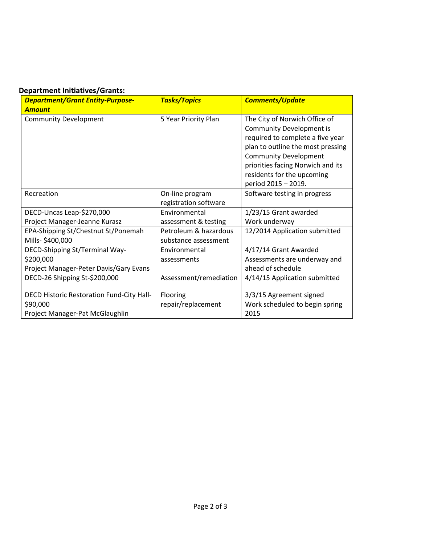## **Department Initiatives/Grants:**

| <b>Department/Grant Entity-Purpose-</b>   | <b>Tasks/Topics</b>    | <b>Comments/Update</b>            |
|-------------------------------------------|------------------------|-----------------------------------|
| <b>Amount</b>                             |                        |                                   |
| <b>Community Development</b>              | 5 Year Priority Plan   | The City of Norwich Office of     |
|                                           |                        | <b>Community Development is</b>   |
|                                           |                        | required to complete a five year  |
|                                           |                        | plan to outline the most pressing |
|                                           |                        | <b>Community Development</b>      |
|                                           |                        | priorities facing Norwich and its |
|                                           |                        | residents for the upcoming        |
|                                           |                        | period 2015 - 2019.               |
| Recreation                                | On-line program        | Software testing in progress      |
|                                           | registration software  |                                   |
| DECD-Uncas Leap-\$270,000                 | Environmental          | 1/23/15 Grant awarded             |
| Project Manager-Jeanne Kurasz             | assessment & testing   | Work underway                     |
| EPA-Shipping St/Chestnut St/Ponemah       | Petroleum & hazardous  | 12/2014 Application submitted     |
| Mills-\$400,000                           | substance assessment   |                                   |
| DECD-Shipping St/Terminal Way-            | Environmental          | 4/17/14 Grant Awarded             |
| \$200,000                                 | assessments            | Assessments are underway and      |
| Project Manager-Peter Davis/Gary Evans    |                        | ahead of schedule                 |
| DECD-26 Shipping St-\$200,000             | Assessment/remediation | 4/14/15 Application submitted     |
| DECD Historic Restoration Fund-City Hall- | Flooring               | 3/3/15 Agreement signed           |
| \$90,000                                  | repair/replacement     | Work scheduled to begin spring    |
| Project Manager-Pat McGlaughlin           |                        | 2015                              |